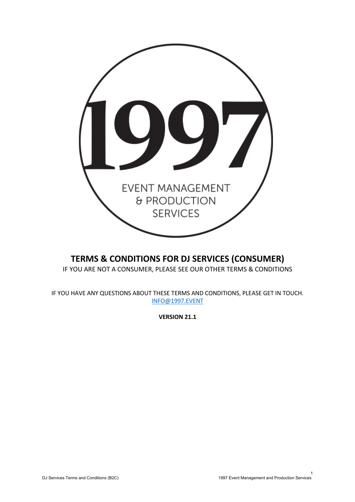

# **TERMS & CONDITIONS FOR DJ SERVICES (CONSUMER)** IF YOU ARE NOT A CONSUMER, PLEASE SEE OUR OTHER TERMS & CONDITIONS

IF YOU HAVE ANY QUESTIONS ABOUT THESE TERMS AND CONDITIONS, PLEASE GET IN TOUCH. INFO@1997.EVENT

**VERSION 21.1**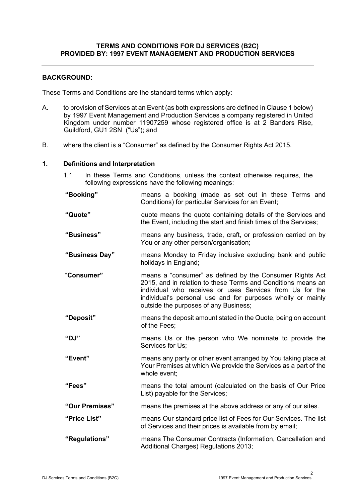### **TERMS AND CONDITIONS FOR DJ SERVICES (B2C) PROVIDED BY: 1997 EVENT MANAGEMENT AND PRODUCTION SERVICES**

### **BACKGROUND:**

These Terms and Conditions are the standard terms which apply:

- A. to provision of Services at an Event (as both expressions are defined in Clause 1 below) by 1997 Event Management and Production Services a company registered in United Kingdom under number 11907259 whose registered office is at 2 Banders Rise, Guildford, GU1 2SN ("Us"); and
- B. where the client is a "Consumer" as defined by the Consumer Rights Act 2015.

### **1. Definitions and Interpretation**

1.1 In these Terms and Conditions, unless the context otherwise requires, the following expressions have the following meanings:

**"Booking"** means a booking (made as set out in these Terms and Conditions) for particular Services for an Event;

- **"Quote"** quote means the quote containing details of the Services and the Event, including the start and finish times of the Services;
- **"Business"** means any business, trade, craft, or profession carried on by You or any other person/organisation;
- **"Business Day"** means Monday to Friday inclusive excluding bank and public holidays in England;
- "**Consumer"** means a "consumer" as defined by the Consumer Rights Act 2015, and in relation to these Terms and Conditions means an individual who receives or uses Services from Us for the individual's personal use and for purposes wholly or mainly outside the purposes of any Business;
- **"Deposit"** means the deposit amount stated in the Quote, being on account of the Fees;
- **"DJ"** means Us or the person who We nominate to provide the Services for Us;
- **"Event"** means any party or other event arranged by You taking place at Your Premises at which We provide the Services as a part of the whole event;
- **"Fees"** means the total amount (calculated on the basis of Our Price List) payable for the Services;
- **"Our Premises"** means the premises at the above address or any of our sites.
- **"Price List"** means Our standard price list of Fees for Our Services. The list of Services and their prices is available from by email;
- **"Regulations"** means The Consumer Contracts (Information, Cancellation and Additional Charges) Regulations 2013;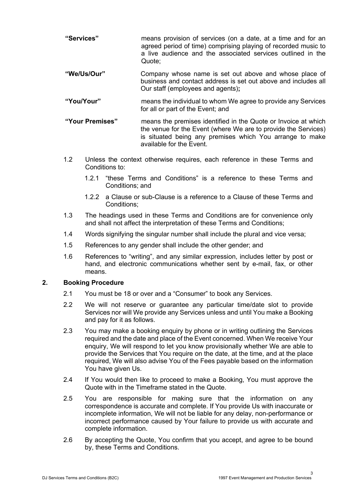- **"Services"** means provision of services (on a date, at a time and for an agreed period of time) comprising playing of recorded music to a live audience and the associated services outlined in the Quote;
- **"We/Us/Our"** Company whose name is set out above and whose place of business and contact address is set out above and includes all Our staff (employees and agents)**;**
- **"You/Your"** means the individual to whom We agree to provide any Services for all or part of the Event; and
- **"Your Premises"** means the premises identified in the Quote or Invoice at which the venue for the Event (where We are to provide the Services) is situated being any premises which You arrange to make available for the Event.
- 1.2 Unless the context otherwise requires, each reference in these Terms and Conditions to:
	- 1.2.1 "these Terms and Conditions" is a reference to these Terms and Conditions; and
	- 1.2.2 a Clause or sub-Clause is a reference to a Clause of these Terms and Conditions;
- 1.3 The headings used in these Terms and Conditions are for convenience only and shall not affect the interpretation of these Terms and Conditions;
- 1.4 Words signifying the singular number shall include the plural and vice versa;
- 1.5 References to any gender shall include the other gender; and
- 1.6 References to "writing", and any similar expression, includes letter by post or hand, and electronic communications whether sent by e-mail, fax, or other means.

# **2. Booking Procedure**

- 2.1 You must be 18 or over and a "Consumer" to book any Services.
- 2.2 We will not reserve or guarantee any particular time/date slot to provide Services nor will We provide any Services unless and until You make a Booking and pay for it as follows.
- 2.3 You may make a booking enquiry by phone or in writing outlining the Services required and the date and place of the Event concerned. When We receive Your enquiry, We will respond to let you know provisionally whether We are able to provide the Services that You require on the date, at the time, and at the place required, We will also advise You of the Fees payable based on the information You have given Us.
- 2.4 If You would then like to proceed to make a Booking, You must approve the Quote with in the Timeframe stated in the Quote.
- 2.5 You are responsible for making sure that the information on any correspondence is accurate and complete. If You provide Us with inaccurate or incomplete information, We will not be liable for any delay, non-performance or incorrect performance caused by Your failure to provide us with accurate and complete information.
- 2.6 By accepting the Quote, You confirm that you accept, and agree to be bound by, these Terms and Conditions.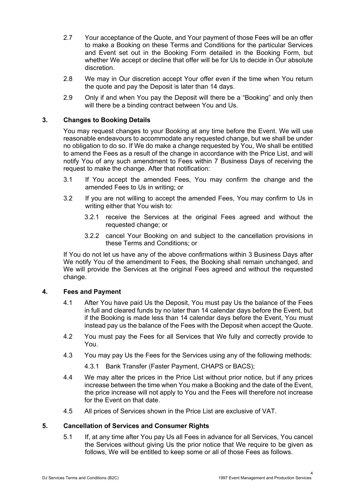- 2.7 Your acceptance of the Quote, and Your payment of those Fees will be an offer to make a Booking on these Terms and Conditions for the particular Services and Event set out in the Booking Form detailed in the Booking Form, but whether We accept or decline that offer will be for Us to decide in Our absolute discretion.
- 2.8 We may in Our discretion accept Your offer even if the time when You return the quote and pay the Deposit is later than 14 days.
- 2.9 Only if and when You pay the Deposit will there be a "Booking" and only then will there be a binding contract between You and Us.

# **3. Changes to Booking Details**

You may request changes to your Booking at any time before the Event. We will use reasonable endeavours to accommodate any requested change, but we shall be under no obligation to do so. If We do make a change requested by You, We shall be entitled to amend the Fees as a result of the change in accordance with the Price List, and will notify You of any such amendment to Fees within 7 Business Days of receiving the request to make the change. After that notification:

- 3.1 If You accept the amended Fees, You may confirm the change and the amended Fees to Us in writing; or
- 3.2 If you are not willing to accept the amended Fees, You may confirm to Us in writing either that You wish to:
	- 3.2.1 receive the Services at the original Fees agreed and without the requested change; or
	- 3.2.2 cancel Your Booking on and subject to the cancellation provisions in these Terms and Conditions; or

If You do not let us have any of the above confirmations within 3 Business Days after We notify You of the amendment to Fees, the Booking shall remain unchanged, and We will provide the Services at the original Fees agreed and without the requested change.

# **4. Fees and Payment**

- 4.1 After You have paid Us the Deposit, You must pay Us the balance of the Fees in full and cleared funds by no later than 14 calendar days before the Event, but if the Booking is made less than 14 calendar days before the Event, You must instead pay us the balance of the Fees with the Deposit when accept the Quote.
- 4.2 You must pay the Fees for all Services that We fully and correctly provide to You.
- 4.3 You may pay Us the Fees for the Services using any of the following methods:

4.3.1 Bank Transfer (Faster Payment, CHAPS or BACS);

- 4.4 We may alter the prices in the Price List without prior notice, but if any prices increase between the time when You make a Booking and the date of the Event, the price increase will not apply to You and the Fees will therefore not increase for the Event on that date.
- 4.5 All prices of Services shown in the Price List are exclusive of VAT.

# **5. Cancellation of Services and Consumer Rights**

5.1 If, at any time after You pay Us all Fees in advance for all Services, You cancel the Services without giving Us the prior notice that We require to be given as follows, We will be entitled to keep some or all of those Fees as follows.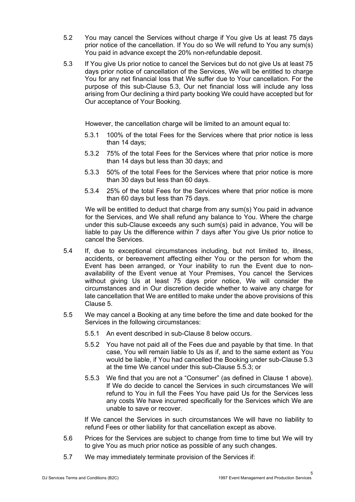- 5.2 You may cancel the Services without charge if You give Us at least 75 days prior notice of the cancellation. If You do so We will refund to You any sum(s) You paid in advance except the 20% non-refundable deposit.
- 5.3 If You give Us prior notice to cancel the Services but do not give Us at least 75 days prior notice of cancellation of the Services, We will be entitled to charge You for any net financial loss that We suffer due to Your cancellation. For the purpose of this sub-Clause 5.3, Our net financial loss will include any loss arising from Our declining a third party booking We could have accepted but for Our acceptance of Your Booking.

However, the cancellation charge will be limited to an amount equal to:

- 5.3.1 100% of the total Fees for the Services where that prior notice is less than 14 days;
- 5.3.2 75% of the total Fees for the Services where that prior notice is more than 14 days but less than 30 days; and
- 5.3.3 50% of the total Fees for the Services where that prior notice is more than 30 days but less than 60 days.
- 5.3.4 25% of the total Fees for the Services where that prior notice is more than 60 days but less than 75 days.

We will be entitled to deduct that charge from any sum(s) You paid in advance for the Services, and We shall refund any balance to You. Where the charge under this sub-Clause exceeds any such sum(s) paid in advance, You will be liable to pay Us the difference within 7 days after You give Us prior notice to cancel the Services.

- 5.4 If, due to exceptional circumstances including, but not limited to, illness, accidents, or bereavement affecting either You or the person for whom the Event has been arranged, or Your inability to run the Event due to nonavailability of the Event venue at Your Premises, You cancel the Services without giving Us at least 75 days prior notice, We will consider the circumstances and in Our discretion decide whether to waive any charge for late cancellation that We are entitled to make under the above provisions of this Clause 5.
- 5.5 We may cancel a Booking at any time before the time and date booked for the Services in the following circumstances:
	- 5.5.1 An event described in sub-Clause 8 below occurs.
	- 5.5.2 You have not paid all of the Fees due and payable by that time. In that case, You will remain liable to Us as if, and to the same extent as You would be liable, if You had cancelled the Booking under sub-Clause 5.3 at the time We cancel under this sub-Clause 5.5.3; or
	- 5.5.3 We find that you are not a "Consumer" (as defined in Clause 1 above). If We do decide to cancel the Services in such circumstances We will refund to You in full the Fees You have paid Us for the Services less any costs We have incurred specifically for the Services which We are unable to save or recover.

If We cancel the Services in such circumstances We will have no liability to refund Fees or other liability for that cancellation except as above.

- 5.6 Prices for the Services are subject to change from time to time but We will try to give You as much prior notice as possible of any such changes.
- 5.7 We may immediately terminate provision of the Services if: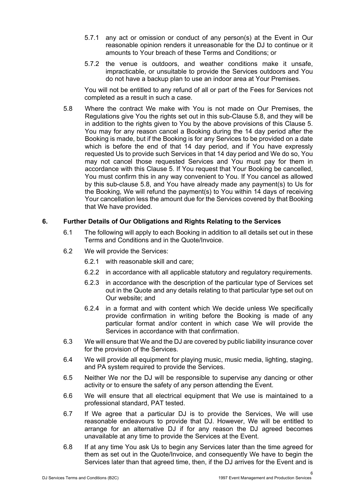- 5.7.1 any act or omission or conduct of any person(s) at the Event in Our reasonable opinion renders it unreasonable for the DJ to continue or it amounts to Your breach of these Terms and Conditions; or
- 5.7.2 the venue is outdoors, and weather conditions make it unsafe, impracticable, or unsuitable to provide the Services outdoors and You do not have a backup plan to use an indoor area at Your Premises.

You will not be entitled to any refund of all or part of the Fees for Services not completed as a result in such a case.

5.8 Where the contract We make with You is not made on Our Premises, the Regulations give You the rights set out in this sub-Clause 5.8, and they will be in addition to the rights given to You by the above provisions of this Clause 5. You may for any reason cancel a Booking during the 14 day period after the Booking is made, but if the Booking is for any Services to be provided on a date which is before the end of that 14 day period, and if You have expressly requested Us to provide such Services in that 14 day period and We do so, You may not cancel those requested Services and You must pay for them in accordance with this Clause 5. If You request that Your Booking be cancelled, You must confirm this in any way convenient to You. If You cancel as allowed by this sub-clause 5.8, and You have already made any payment(s) to Us for the Booking, We will refund the payment(s) to You within 14 days of receiving Your cancellation less the amount due for the Services covered by that Booking that We have provided.

# **6. Further Details of Our Obligations and Rights Relating to the Services**

- 6.1 The following will apply to each Booking in addition to all details set out in these Terms and Conditions and in the Quote/Invoice.
- 6.2 We will provide the Services:
	- 6.2.1 with reasonable skill and care;
	- 6.2.2 in accordance with all applicable statutory and regulatory requirements.
	- 6.2.3 in accordance with the description of the particular type of Services set out in the Quote and any details relating to that particular type set out on Our website; and
	- 6.2.4 in a format and with content which We decide unless We specifically provide confirmation in writing before the Booking is made of any particular format and/or content in which case We will provide the Services in accordance with that confirmation.
- 6.3 We will ensure that We and the DJ are covered by public liability insurance cover for the provision of the Services.
- 6.4 We will provide all equipment for playing music, music media, lighting, staging, and PA system required to provide the Services.
- 6.5 Neither We nor the DJ will be responsible to supervise any dancing or other activity or to ensure the safety of any person attending the Event.
- 6.6 We will ensure that all electrical equipment that We use is maintained to a professional standard, PAT tested.
- 6.7 If We agree that a particular DJ is to provide the Services, We will use reasonable endeavours to provide that DJ. However, We will be entitled to arrange for an alternative DJ if for any reason the DJ agreed becomes unavailable at any time to provide the Services at the Event.
- 6.8 If at any time You ask Us to begin any Services later than the time agreed for them as set out in the Quote/Invoice, and consequently We have to begin the Services later than that agreed time, then, if the DJ arrives for the Event and is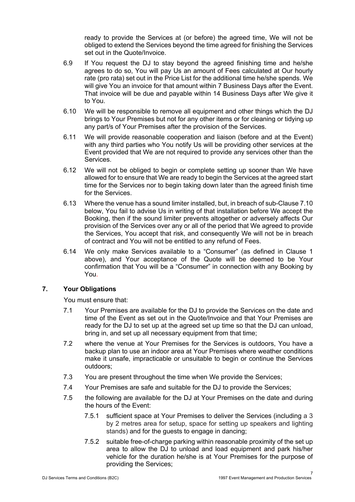ready to provide the Services at (or before) the agreed time, We will not be obliged to extend the Services beyond the time agreed for finishing the Services set out in the Quote/Invoice.

- 6.9 If You request the DJ to stay beyond the agreed finishing time and he/she agrees to do so, You will pay Us an amount of Fees calculated at Our hourly rate (pro rata) set out in the Price List for the additional time he/she spends. We will give You an invoice for that amount within 7 Business Days after the Event. That invoice will be due and payable within 14 Business Days after We give it to You.
- 6.10 We will be responsible to remove all equipment and other things which the DJ brings to Your Premises but not for any other items or for cleaning or tidying up any part/s of Your Premises after the provision of the Services.
- 6.11 We will provide reasonable cooperation and liaison (before and at the Event) with any third parties who You notify Us will be providing other services at the Event provided that We are not required to provide any services other than the Services.
- 6.12 We will not be obliged to begin or complete setting up sooner than We have allowed for to ensure that We are ready to begin the Services at the agreed start time for the Services nor to begin taking down later than the agreed finish time for the Services.
- 6.13 Where the venue has a sound limiter installed, but, in breach of sub-Clause 7.10 below, You fail to advise Us in writing of that installation before We accept the Booking, then if the sound limiter prevents altogether or adversely affects Our provision of the Services over any or all of the period that We agreed to provide the Services, You accept that risk, and consequently We will not be in breach of contract and You will not be entitled to any refund of Fees.
- 6.14 We only make Services available to a "Consumer" (as defined in Clause 1 above), and Your acceptance of the Quote will be deemed to be Your confirmation that You will be a "Consumer" in connection with any Booking by You.

# **7. Your Obligations**

You must ensure that:

- 7.1 Your Premises are available for the DJ to provide the Services on the date and time of the Event as set out in the Quote/Invoice and that Your Premises are ready for the DJ to set up at the agreed set up time so that the DJ can unload, bring in, and set up all necessary equipment from that time;
- 7.2 where the venue at Your Premises for the Services is outdoors, You have a backup plan to use an indoor area at Your Premises where weather conditions make it unsafe, impracticable or unsuitable to begin or continue the Services outdoors;
- 7.3 You are present throughout the time when We provide the Services;
- 7.4 Your Premises are safe and suitable for the DJ to provide the Services;
- 7.5 the following are available for the DJ at Your Premises on the date and during the hours of the Event:
	- 7.5.1 sufficient space at Your Premises to deliver the Services (including a 3 by 2 metres area for setup, space for setting up speakers and lighting stands) and for the guests to engage in dancing;
	- 7.5.2 suitable free-of-charge parking within reasonable proximity of the set up area to allow the DJ to unload and load equipment and park his/her vehicle for the duration he/she is at Your Premises for the purpose of providing the Services;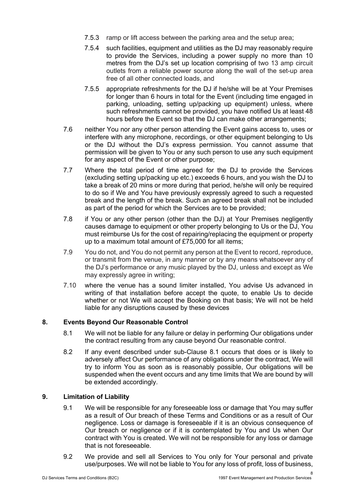- 7.5.3 ramp or lift access between the parking area and the setup area;
- 7.5.4 such facilities, equipment and utilities as the DJ may reasonably require to provide the Services, including a power supply no more than 10 metres from the DJ's set up location comprising of two 13 amp circuit outlets from a reliable power source along the wall of the set-up area free of all other connected loads, and
- 7.5.5 appropriate refreshments for the DJ if he/she will be at Your Premises for longer than 6 hours in total for the Event (including time engaged in parking, unloading, setting up/packing up equipment) unless, where such refreshments cannot be provided, you have notified Us at least 48 hours before the Event so that the DJ can make other arrangements;
- 7.6 neither You nor any other person attending the Event gains access to, uses or interfere with any microphone, recordings, or other equipment belonging to Us or the DJ without the DJ's express permission. You cannot assume that permission will be given to You or any such person to use any such equipment for any aspect of the Event or other purpose;
- 7.7 Where the total period of time agreed for the DJ to provide the Services (excluding setting up/packing up etc.) exceeds 6 hours, and you wish the DJ to take a break of 20 mins or more during that period, he/she will only be required to do so if We and You have previously expressly agreed to such a requested break and the length of the break. Such an agreed break shall not be included as part of the period for which the Services are to be provided;
- 7.8 if You or any other person (other than the DJ) at Your Premises negligently causes damage to equipment or other property belonging to Us or the DJ, You must reimburse Us for the cost of repairing/replacing the equipment or property up to a maximum total amount of £75,000 for all items;
- 7.9 You do not, and You do not permit any person at the Event to record, reproduce, or transmit from the venue, in any manner or by any means whatsoever any of the DJ's performance or any music played by the DJ, unless and except as We may expressly agree in writing;
- 7.10 where the venue has a sound limiter installed, You advise Us advanced in writing of that installation before accept the quote, to enable Us to decide whether or not We will accept the Booking on that basis; We will not be held liable for any disruptions caused by these devices

# **8. Events Beyond Our Reasonable Control**

- 8.1 We will not be liable for any failure or delay in performing Our obligations under the contract resulting from any cause beyond Our reasonable control.
- 8.2 If any event described under sub-Clause 8.1 occurs that does or is likely to adversely affect Our performance of any obligations under the contract, We will try to inform You as soon as is reasonably possible, Our obligations will be suspended when the event occurs and any time limits that We are bound by will be extended accordingly.

# **9. Limitation of Liability**

- 9.1 We will be responsible for any foreseeable loss or damage that You may suffer as a result of Our breach of these Terms and Conditions or as a result of Our negligence. Loss or damage is foreseeable if it is an obvious consequence of Our breach or negligence or if it is contemplated by You and Us when Our contract with You is created. We will not be responsible for any loss or damage that is not foreseeable.
- 9.2 We provide and sell all Services to You only for Your personal and private use/purposes. We will not be liable to You for any loss of profit, loss of business,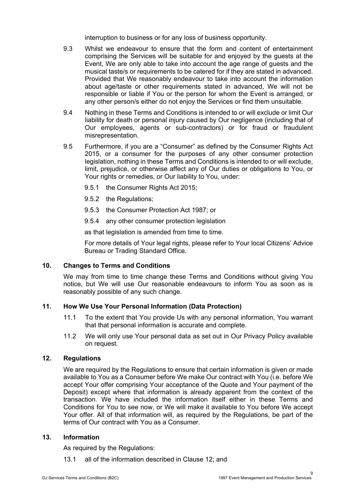interruption to business or for any loss of business opportunity.

- 9.3 Whilst we endeavour to ensure that the form and content of entertainment comprising the Services will be suitable for and enjoyed by the guests at the Event, We are only able to take into account the age range of guests and the musical taste/s or requirements to be catered for if they are stated in advanced. Provided that We reasonably endeavour to take into account the information about age/taste or other requirements stated in advanced, We will not be responsible or liable if You or the person for whom the Event is arranged, or any other person/s either do not enjoy the Services or find them unsuitable.
- 9.4 Nothing in these Terms and Conditions is intended to or will exclude or limit Our liability for death or personal injury caused by Our negligence (including that of Our employees, agents or sub-contractors) or for fraud or fraudulent misrepresentation.
- 9.5 Furthermore, if you are a "Consumer" as defined by the Consumer Rights Act 2015, or a consumer for the purposes of any other consumer protection legislation, nothing in these Terms and Conditions is intended to or will exclude, limit, prejudice, or otherwise affect any of Our duties or obligations to You, or Your rights or remedies, or Our liability to You, under:
	- 9.5.1 the Consumer Rights Act 2015;
	- 9.5.2 the Regulations;
	- 9.5.3 the Consumer Protection Act 1987; or
	- 9.5.4 any other consumer protection legislation

as that legislation is amended from time to time.

For more details of Your legal rights, please refer to Your local Citizens' Advice Bureau or Trading Standard Office.

# **10. Changes to Terms and Conditions**

We may from time to time change these Terms and Conditions without giving You notice, but We will use Our reasonable endeavours to inform You as soon as is reasonably possible of any such change.

# **11. How We Use Your Personal Information (Data Protection)**

- 11.1 To the extent that You provide Us with any personal information, You warrant that that personal information is accurate and complete.
- 11.2 We will only use Your personal data as set out in Our Privacy Policy available on request.

#### **12. Regulations**

We are required by the Regulations to ensure that certain information is given or made available to You as a Consumer before We make Our contract with You (i.e. before We accept Your offer comprising Your acceptance of the Quote and Your payment of the Deposit) except where that information is already apparent from the context of the transaction. We have included the information itself either in these Terms and Conditions for You to see now, or We will make it available to You before We accept Your offer. All of that information will, as required by the Regulations, be part of the terms of Our contract with You as a Consumer.

#### **13. Information**

As required by the Regulations:

13.1 all of the information described in Clause 12; and